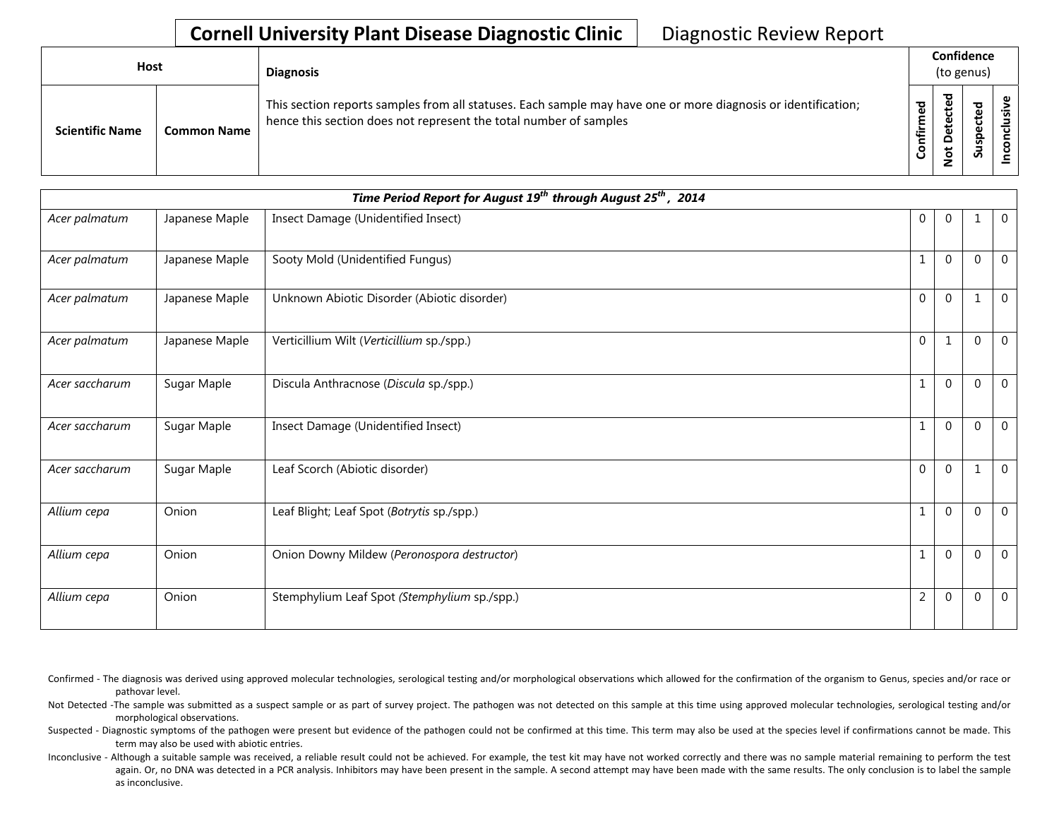| Host                   |                    | <b>Diagnosis</b>                                                                                                                                                                   |                      | Confidence<br>(to genus)                                 |                                     |  |  |
|------------------------|--------------------|------------------------------------------------------------------------------------------------------------------------------------------------------------------------------------|----------------------|----------------------------------------------------------|-------------------------------------|--|--|
| <b>Scientific Name</b> | <b>Common Name</b> | This section reports samples from all statuses. Each sample may have one or more diagnosis or identification;<br>hence this section does not represent the total number of samples | ಕ<br>Ě<br>onfir<br>O | ᇃ<br>$\mathbf \omega$<br>د<br>ပ<br>ω<br>ω<br>۵<br>پ<br>؋ | ਠ<br>ூ<br>ن<br>$\mathbf{c}$<br>Susp |  |  |

| Time Period Report for August 19 <sup>th</sup> through August 25 <sup>th</sup> , 2014 |                |                                              |                |              |             |              |  |  |  |
|---------------------------------------------------------------------------------------|----------------|----------------------------------------------|----------------|--------------|-------------|--------------|--|--|--|
| Acer palmatum                                                                         | Japanese Maple | Insect Damage (Unidentified Insect)          | $\Omega$       | $\Omega$     |             | $\mathbf 0$  |  |  |  |
| Acer palmatum                                                                         | Japanese Maple | Sooty Mold (Unidentified Fungus)             | 1              | $\Omega$     | $\mathbf 0$ | $\mathbf{0}$ |  |  |  |
| Acer palmatum                                                                         | Japanese Maple | Unknown Abiotic Disorder (Abiotic disorder)  | $\Omega$       | $\mathbf 0$  | 1           | $\mathbf{0}$ |  |  |  |
| Acer palmatum                                                                         | Japanese Maple | Verticillium Wilt (Verticillium sp./spp.)    | $\Omega$       | $\mathbf{1}$ | $\mathbf 0$ | $\mathbf 0$  |  |  |  |
| Acer saccharum                                                                        | Sugar Maple    | Discula Anthracnose (Discula sp./spp.)       | $\mathbf{1}$   | $\Omega$     | $\Omega$    | $\mathbf{0}$ |  |  |  |
| Acer saccharum                                                                        | Sugar Maple    | Insect Damage (Unidentified Insect)          | $\mathbf{1}$   | $\Omega$     | $\Omega$    | $\mathbf{0}$ |  |  |  |
| Acer saccharum                                                                        | Sugar Maple    | Leaf Scorch (Abiotic disorder)               | $\mathbf{0}$   | $\mathbf 0$  | 1           | $\mathbf{0}$ |  |  |  |
| Allium cepa                                                                           | Onion          | Leaf Blight; Leaf Spot (Botrytis sp./spp.)   | 1              | $\Omega$     | $\mathbf 0$ | $\mathbf 0$  |  |  |  |
| Allium cepa                                                                           | Onion          | Onion Downy Mildew (Peronospora destructor)  | $\mathbf{1}$   | $\Omega$     | $\mathbf 0$ | $\mathbf{0}$ |  |  |  |
| Allium cepa                                                                           | Onion          | Stemphylium Leaf Spot (Stemphylium sp./spp.) | $\overline{2}$ | $\mathbf{0}$ | 0           | $\mathbf 0$  |  |  |  |

Confirmed - The diagnosis was derived using approved molecular technologies, serological testing and/or morphological observations which allowed for the confirmation of the organism to Genus, species and/or race or pathovar level.

Not Detected -The sample was submitted as a suspect sample or as part of survey project. The pathogen was not detected on this sample at this time using approved molecular technologies, serological testing and/or morphological observations.

Suspected - Diagnostic symptoms of the pathogen were present but evidence of the pathogen could not be confirmed at this time. This term may also be used at the species level if confirmations cannot be made. This term may also be used with abiotic entries.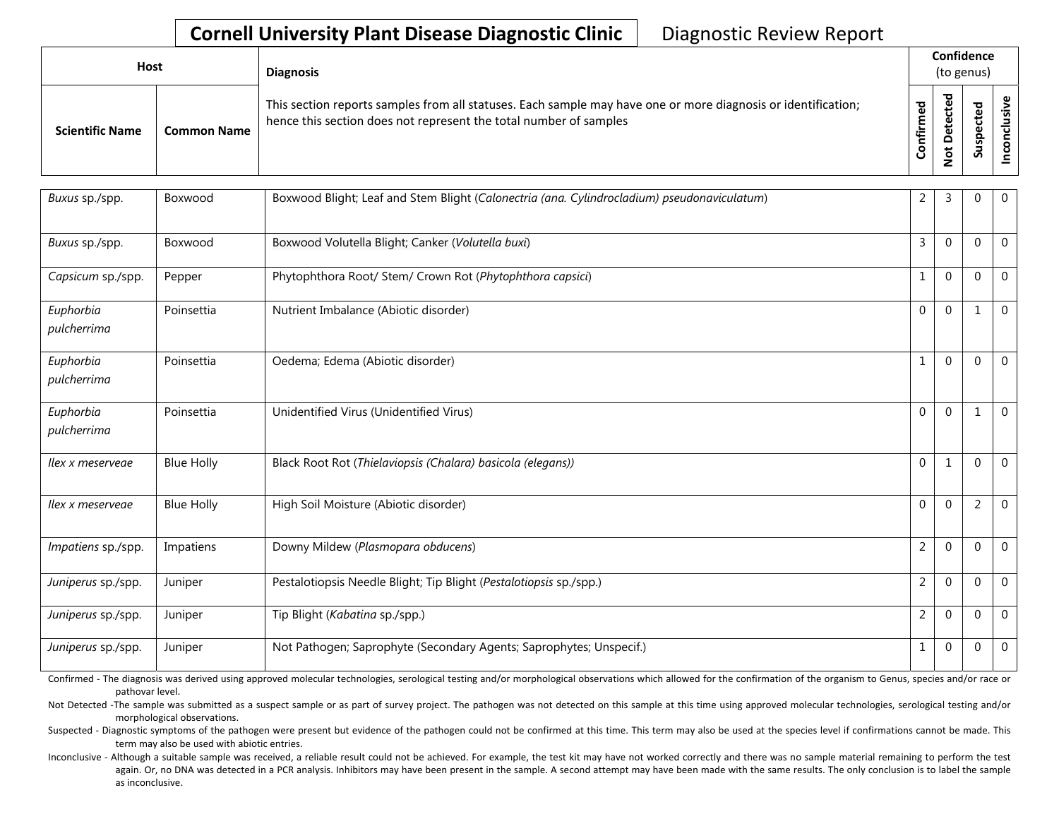| <b>Host</b>            |                    | <b>Diagnosis</b>                                                                                                                                                                   |                     |                                             |                                          |  |  | Confidence<br>(to genus) |  |  |
|------------------------|--------------------|------------------------------------------------------------------------------------------------------------------------------------------------------------------------------------|---------------------|---------------------------------------------|------------------------------------------|--|--|--------------------------|--|--|
| <b>Scientific Name</b> | <b>Common Name</b> | This section reports samples from all statuses. Each sample may have one or more diagnosis or identification;<br>hence this section does not represent the total number of samples | ᅙ<br>≿<br>nfir<br>ပ | ▿<br>$\omega$<br>ω<br>ω<br>▭<br>ى<br>۰<br>- | ਠ<br>Φ<br>ن<br>$\omega$<br>င္တ<br>◡<br>S |  |  |                          |  |  |

| Buxus sp./spp.           | Boxwood           | Boxwood Blight; Leaf and Stem Blight (Calonectria (ana. Cylindrocladium) pseudonaviculatum) | $\overline{2}$ | $\overline{3}$ | $\Omega$       | $\mathbf 0$    |
|--------------------------|-------------------|---------------------------------------------------------------------------------------------|----------------|----------------|----------------|----------------|
| Buxus sp./spp.           | Boxwood           | Boxwood Volutella Blight; Canker (Volutella buxi)                                           | 3              | $\Omega$       | $\mathbf 0$    | $\overline{0}$ |
| Capsicum sp./spp.        | Pepper            | Phytophthora Root/ Stem/ Crown Rot (Phytophthora capsici)                                   | 1              | $\Omega$       | $\mathbf 0$    | $\mathbf 0$    |
| Euphorbia<br>pulcherrima | Poinsettia        | Nutrient Imbalance (Abiotic disorder)                                                       | $\Omega$       | $\Omega$       | 1              | $\mathbf{0}$   |
| Euphorbia<br>pulcherrima | Poinsettia        | Oedema; Edema (Abiotic disorder)                                                            |                | $\Omega$       | $\theta$       | $\mathbf{0}$   |
| Euphorbia<br>pulcherrima | Poinsettia        | Unidentified Virus (Unidentified Virus)                                                     | $\Omega$       | $\Omega$       | 1              | $\mathbf{0}$   |
| llex x meservege         | <b>Blue Holly</b> | Black Root Rot (Thielaviopsis (Chalara) basicola (elegans))                                 | $\Omega$       | $\mathbf{1}$   | $\Omega$       | $\Omega$       |
| llex x meservege         | <b>Blue Holly</b> | High Soil Moisture (Abiotic disorder)                                                       | $\Omega$       | $\Omega$       | $\overline{2}$ | $\overline{0}$ |
| Impatiens sp./spp.       | Impatiens         | Downy Mildew (Plasmopara obducens)                                                          | $\overline{2}$ | $\Omega$       | $\mathbf 0$    | $\mathbf{0}$   |
| Juniperus sp./spp.       | Juniper           | Pestalotiopsis Needle Blight; Tip Blight (Pestalotiopsis sp./spp.)                          | $\overline{2}$ | $\Omega$       | $\mathbf 0$    | $\overline{0}$ |
| Juniperus sp./spp.       | Juniper           | Tip Blight (Kabatina sp./spp.)                                                              | $\overline{2}$ | $\Omega$       | $\mathbf 0$    | $\mathbf 0$    |
| Juniperus sp./spp.       | Juniper           | Not Pathogen; Saprophyte (Secondary Agents; Saprophytes; Unspecif.)                         | 1              | $\mathbf{0}$   | 0              | $\mathbf 0$    |

Confirmed - The diagnosis was derived using approved molecular technologies, serological testing and/or morphological observations which allowed for the confirmation of the organism to Genus, species and/or race or pathovar level.

Not Detected -The sample was submitted as a suspect sample or as part of survey project. The pathogen was not detected on this sample at this time using approved molecular technologies, serological testing and/or morphological observations.

Suspected - Diagnostic symptoms of the pathogen were present but evidence of the pathogen could not be confirmed at this time. This term may also be used at the species level if confirmations cannot be made. This term may also be used with abiotic entries.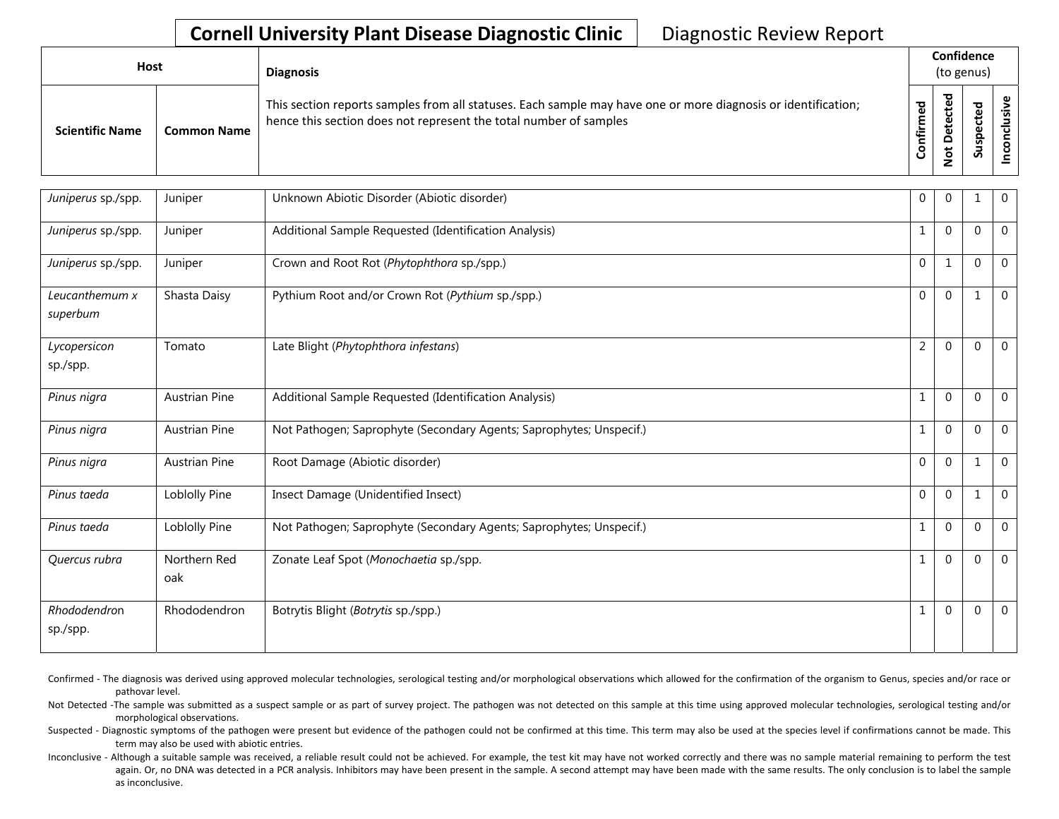| <b>Host</b>            |                    | <b>Diagnosis</b>                                                                                                                                                                   |                 | Confidence<br>(to genus)                      |                                                     |  |
|------------------------|--------------------|------------------------------------------------------------------------------------------------------------------------------------------------------------------------------------|-----------------|-----------------------------------------------|-----------------------------------------------------|--|
| <b>Scientific Name</b> | <b>Common Name</b> | This section reports samples from all statuses. Each sample may have one or more diagnosis or identification;<br>hence this section does not represent the total number of samples | ᄝ<br>Ē<br>onfir | ᇴ<br>cte<br>Φ<br>ã<br>۵<br>پ<br>$\frac{9}{5}$ | ठ<br>요<br>ن<br>$\mathbf \omega$<br>௨<br>ഗ<br>ے<br>S |  |

| Juniperus sp./spp.         | Juniper              | Unknown Abiotic Disorder (Abiotic disorder)                         | $\mathbf{0}$   | $\Omega$     |             | $\mathbf 0$    |
|----------------------------|----------------------|---------------------------------------------------------------------|----------------|--------------|-------------|----------------|
| Juniperus sp./spp.         | Juniper              | Additional Sample Requested (Identification Analysis)               | 1              | $\Omega$     | $\Omega$    | $\mathbf 0$    |
| Juniperus sp./spp.         | Juniper              | Crown and Root Rot (Phytophthora sp./spp.)                          | $\Omega$       | $\mathbf{1}$ | $\mathbf 0$ | $\mathbf{0}$   |
| Leucanthemum x<br>superbum | Shasta Daisy         | Pythium Root and/or Crown Rot (Pythium sp./spp.)                    | $\Omega$       | $\Omega$     |             | $\mathbf 0$    |
| Lycopersicon<br>sp./spp.   | Tomato               | Late Blight (Phytophthora infestans)                                | $\overline{2}$ | $\Omega$     | $\Omega$    | $\overline{0}$ |
| Pinus nigra                | <b>Austrian Pine</b> | Additional Sample Requested (Identification Analysis)               | 1              | $\Omega$     | $\theta$    | $\mathbf 0$    |
| Pinus nigra                | <b>Austrian Pine</b> | Not Pathogen; Saprophyte (Secondary Agents; Saprophytes; Unspecif.) | 1              | $\Omega$     | $\Omega$    | $\Omega$       |
| Pinus nigra                | <b>Austrian Pine</b> | Root Damage (Abiotic disorder)                                      | $\Omega$       | $\Omega$     | 1           | $\mathbf 0$    |
| Pinus taeda                | Loblolly Pine        | Insect Damage (Unidentified Insect)                                 | $\Omega$       | $\Omega$     | 1           | $\mathbf 0$    |
| Pinus taeda                | Loblolly Pine        | Not Pathogen; Saprophyte (Secondary Agents; Saprophytes; Unspecif.) | 1              | $\Omega$     | $\Omega$    | $\Omega$       |
| Quercus rubra              | Northern Red<br>oak  | Zonate Leaf Spot (Monochaetia sp./spp.                              | 1              | $\Omega$     | $\mathbf 0$ | $\mathbf 0$    |
| Rhododendron<br>sp./spp.   | Rhododendron         | Botrytis Blight (Botrytis sp./spp.)                                 |                | $\Omega$     | $\Omega$    | $\Omega$       |

Confirmed - The diagnosis was derived using approved molecular technologies, serological testing and/or morphological observations which allowed for the confirmation of the organism to Genus, species and/or race or pathovar level.

Not Detected -The sample was submitted as a suspect sample or as part of survey project. The pathogen was not detected on this sample at this time using approved molecular technologies, serological testing and/or morphological observations.

Suspected - Diagnostic symptoms of the pathogen were present but evidence of the pathogen could not be confirmed at this time. This term may also be used at the species level if confirmations cannot be made. This term may also be used with abiotic entries.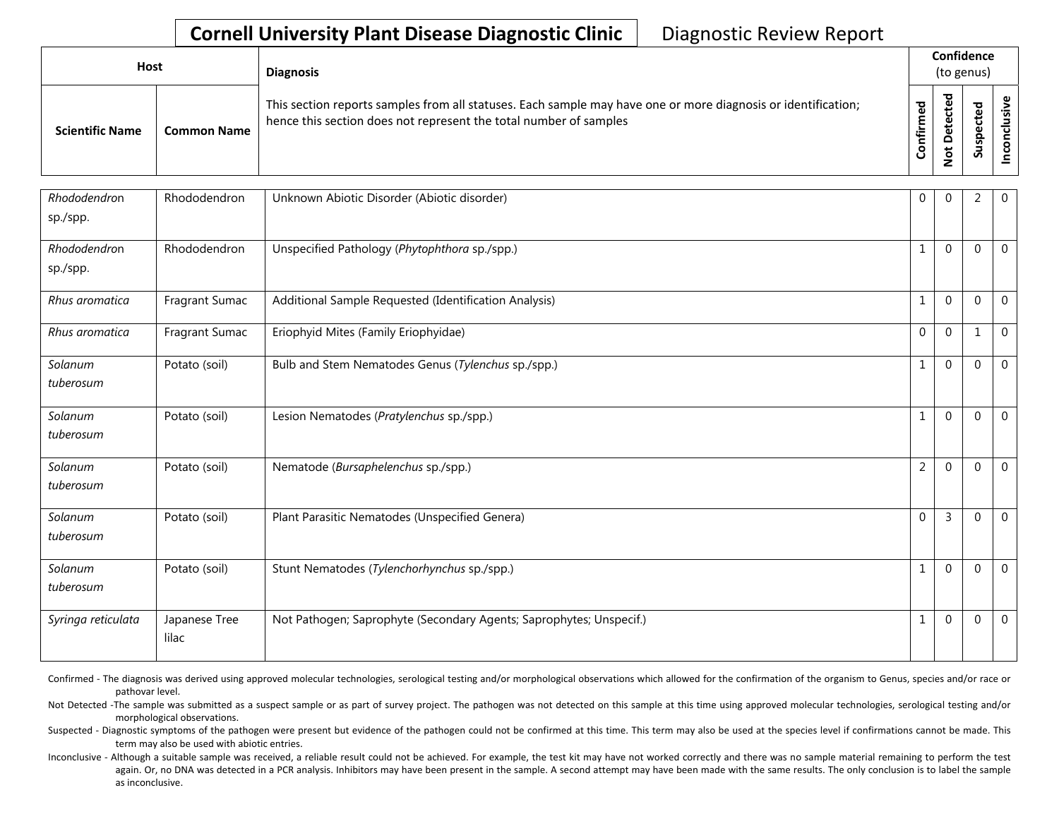| <b>Host</b>            |                    | <b>Diagnosis</b>                                                                                                                                                                   |               |                       | Confidence<br>(to genus)             |   |
|------------------------|--------------------|------------------------------------------------------------------------------------------------------------------------------------------------------------------------------------|---------------|-----------------------|--------------------------------------|---|
| <b>Scientific Name</b> | <b>Common Name</b> | This section reports samples from all statuses. Each sample may have one or more diagnosis or identification;<br>hence this section does not represent the total number of samples | ᇴ<br>tir<br>U | ᇃ<br>ω<br>پ<br>۰<br>∼ | ठ<br>ω<br>ن<br>ω<br>௨<br>s<br>Б<br>S | ں |

| Rhododendron<br>sp./spp. | Rhododendron           | Unknown Abiotic Disorder (Abiotic disorder)                         | $\mathbf{0}$   | $\Omega$       | $\overline{2}$ | $\mathbf 0$  |
|--------------------------|------------------------|---------------------------------------------------------------------|----------------|----------------|----------------|--------------|
| Rhododendron<br>sp./spp. | Rhododendron           | Unspecified Pathology (Phytophthora sp./spp.)                       | 1              | $\Omega$       | $\overline{0}$ | $\mathbf 0$  |
| Rhus aromatica           | Fragrant Sumac         | Additional Sample Requested (Identification Analysis)               | $\mathbf{1}$   | $\Omega$       | $\theta$       | $\mathbf 0$  |
| Rhus aromatica           | Fragrant Sumac         | Eriophyid Mites (Family Eriophyidae)                                | $\Omega$       | $\Omega$       |                | $\mathbf 0$  |
| Solanum<br>tuberosum     | Potato (soil)          | Bulb and Stem Nematodes Genus (Tylenchus sp./spp.)                  | $\mathbf{1}$   | $\mathbf{0}$   | $\overline{0}$ | $\mathbf 0$  |
| Solanum<br>tuberosum     | Potato (soil)          | Lesion Nematodes (Pratylenchus sp./spp.)                            | $\mathbf{1}$   | $\Omega$       | $\mathbf 0$    | $\mathbf{0}$ |
| Solanum<br>tuberosum     | Potato (soil)          | Nematode (Bursaphelenchus sp./spp.)                                 | $\overline{2}$ | $\Omega$       | $\mathbf{0}$   | $\mathbf 0$  |
| Solanum<br>tuberosum     | Potato (soil)          | Plant Parasitic Nematodes (Unspecified Genera)                      | $\Omega$       | $\overline{3}$ | $\mathbf 0$    | $\Omega$     |
| Solanum<br>tuberosum     | Potato (soil)          | Stunt Nematodes (Tylenchorhynchus sp./spp.)                         | $\mathbf{1}$   | $\Omega$       | $\Omega$       | $\Omega$     |
| Syringa reticulata       | Japanese Tree<br>lilac | Not Pathogen; Saprophyte (Secondary Agents; Saprophytes; Unspecif.) | 1              | $\Omega$       | $\mathbf 0$    | $\Omega$     |

Confirmed - The diagnosis was derived using approved molecular technologies, serological testing and/or morphological observations which allowed for the confirmation of the organism to Genus, species and/or race or pathovar level.

Not Detected -The sample was submitted as a suspect sample or as part of survey project. The pathogen was not detected on this sample at this time using approved molecular technologies, serological testing and/or morphological observations.

Suspected - Diagnostic symptoms of the pathogen were present but evidence of the pathogen could not be confirmed at this time. This term may also be used at the species level if confirmations cannot be made. This term may also be used with abiotic entries.